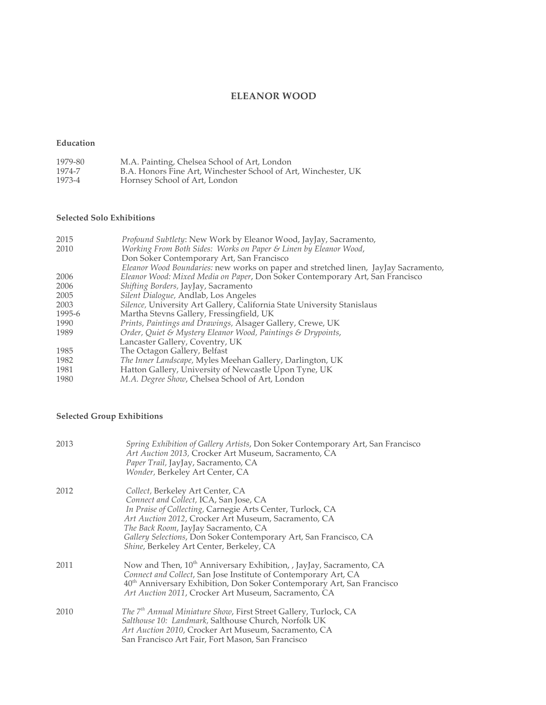# **ELEANOR WOOD**

# **Education**

| 1979-80 | M.A. Painting, Chelsea School of Art, London                   |
|---------|----------------------------------------------------------------|
| 1974-7  | B.A. Honors Fine Art, Winchester School of Art, Winchester, UK |
| 1973-4  | Hornsey School of Art, London                                  |

# **Selected Solo Exhibitions**

| 2015<br>2010 | Profound Subtlety: New Work by Eleanor Wood, JayJay, Sacramento,<br>Working From Both Sides: Works on Paper & Linen by Eleanor Wood, |
|--------------|--------------------------------------------------------------------------------------------------------------------------------------|
|              | Don Soker Contemporary Art, San Francisco                                                                                            |
|              | Eleanor Wood Boundaries: new works on paper and stretched linen, JayJay Sacramento,                                                  |
| 2006         | Eleanor Wood: Mixed Media on Paper, Don Soker Contemporary Art, San Francisco                                                        |
| 2006         | Shifting Borders, JayJay, Sacramento                                                                                                 |
| 2005         | Silent Dialogue, Andlab, Los Angeles                                                                                                 |
| 2003         | Silence, University Art Gallery, California State University Stanislaus                                                              |
| 1995-6       | Martha Stevns Gallery, Fressingfield, UK                                                                                             |
| 1990         | Prints, Paintings and Drawings, Alsager Gallery, Crewe, UK                                                                           |
| 1989         | Order, Quiet & Mystery Eleanor Wood, Paintings & Drypoints,                                                                          |
|              | Lancaster Gallery, Coventry, UK                                                                                                      |
| 1985         | The Octagon Gallery, Belfast                                                                                                         |
| 1982         | The Inner Landscape, Myles Meehan Gallery, Darlington, UK                                                                            |
| 1981         | Hatton Gallery, University of Newcastle Upon Tyne, UK                                                                                |
| 1980         | M.A. Degree Show, Chelsea School of Art, London                                                                                      |

# **Selected Group Exhibitions**

| 2013 | Spring Exhibition of Gallery Artists, Don Soker Contemporary Art, San Francisco<br>Art Auction 2013, Crocker Art Museum, Sacramento, CA<br>Paper Trail, JayJay, Sacramento, CA<br>Wonder, Berkeley Art Center, CA                                                                                                                                         |
|------|-----------------------------------------------------------------------------------------------------------------------------------------------------------------------------------------------------------------------------------------------------------------------------------------------------------------------------------------------------------|
| 2012 | Collect, Berkeley Art Center, CA<br>Connect and Collect, ICA, San Jose, CA<br>In Praise of Collecting, Carnegie Arts Center, Turlock, CA<br>Art Auction 2012, Crocker Art Museum, Sacramento, CA<br>The Back Room, JayJay Sacramento, CA<br>Gallery Selections, Don Soker Contemporary Art, San Francisco, CA<br>Shine, Berkeley Art Center, Berkeley, CA |
| 2011 | Now and Then, 10 <sup>th</sup> Anniversary Exhibition, , JayJay, Sacramento, CA<br>Connect and Collect, San Jose Institute of Contemporary Art, CA<br>40 <sup>th</sup> Anniversary Exhibition, Don Soker Contemporary Art, San Francisco<br>Art Auction 2011, Crocker Art Museum, Sacramento, CA                                                          |
| 2010 | The 7 <sup>th</sup> Annual Miniature Show, First Street Gallery, Turlock, CA<br>Salthouse 10: Landmark, Salthouse Church, Norfolk UK<br>Art Auction 2010, Crocker Art Museum, Sacramento, CA<br>San Francisco Art Fair, Fort Mason, San Francisco                                                                                                         |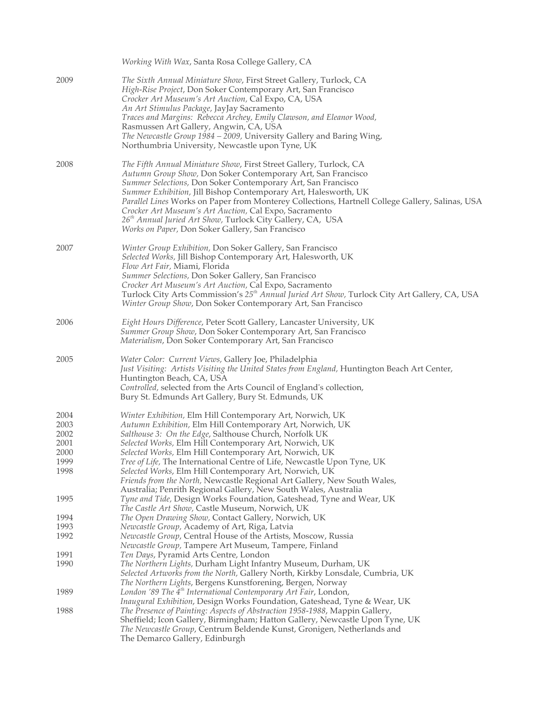|                                      | Working With Wax, Santa Rosa College Gallery, CA                                                                                                                                                                                                                                                                                                                                                                                                                                                                                                                 |
|--------------------------------------|------------------------------------------------------------------------------------------------------------------------------------------------------------------------------------------------------------------------------------------------------------------------------------------------------------------------------------------------------------------------------------------------------------------------------------------------------------------------------------------------------------------------------------------------------------------|
| 2009                                 | The Sixth Annual Miniature Show, First Street Gallery, Turlock, CA<br>High-Rise Project, Don Soker Contemporary Art, San Francisco<br>Crocker Art Museum's Art Auction, Cal Expo, CA, USA<br>An Art Stimulus Package, JayJay Sacramento<br>Traces and Margins: Rebecca Archey, Emily Clawson, and Eleanor Wood,<br>Rasmussen Art Gallery, Angwin, CA, USA<br>The Newcastle Group 1984 - 2009, University Gallery and Baring Wing,<br>Northumbria University, Newcastle upon Tyne, UK                                                                             |
| 2008                                 | The Fifth Annual Miniature Show, First Street Gallery, Turlock, CA<br>Autumn Group Show, Don Soker Contemporary Art, San Francisco<br>Summer Selections, Don Soker Contemporary Art, San Francisco<br>Summer Exhibition, Jill Bishop Contemporary Art, Halesworth, UK<br>Parallel Lines Works on Paper from Monterey Collections, Hartnell College Gallery, Salinas, USA<br>Crocker Art Museum's Art Auction, Cal Expo, Sacramento<br>26 <sup>th</sup> Annual Juried Art Show, Turlock City Gallery, CA, USA<br>Works on Paper, Don Soker Gallery, San Francisco |
| 2007                                 | Winter Group Exhibition, Don Soker Gallery, San Francisco<br>Selected Works, Jill Bishop Contemporary Art, Halesworth, UK<br>Flow Art Fair, Miami, Florida<br>Summer Selections, Don Soker Gallery, San Francisco<br>Crocker Art Museum's Art Auction, Cal Expo, Sacramento<br>Turlock City Arts Commission's 25 <sup>th</sup> Annual Juried Art Show, Turlock City Art Gallery, CA, USA<br>Winter Group Show, Don Soker Contemporary Art, San Francisco                                                                                                         |
| 2006                                 | Eight Hours Difference, Peter Scott Gallery, Lancaster University, UK<br>Summer Group Show, Don Soker Contemporary Art, San Francisco<br>Materialism, Don Soker Contemporary Art, San Francisco                                                                                                                                                                                                                                                                                                                                                                  |
| 2005                                 | Water Color: Current Views, Gallery Joe, Philadelphia<br>Just Visiting: Artists Visiting the United States from England, Huntington Beach Art Center,<br>Huntington Beach, CA, USA<br>Controlled, selected from the Arts Council of England's collection,<br>Bury St. Edmunds Art Gallery, Bury St. Edmunds, UK                                                                                                                                                                                                                                                  |
| 2004<br>2003<br>2002<br>2001<br>2000 | Winter Exhibition, Elm Hill Contemporary Art, Norwich, UK<br>Autumn Exhibition, Elm Hill Contemporary Art, Norwich, UK<br>Salthouse 3: On the Edge, Salthouse Church, Norfolk UK<br>Selected Works, Elm Hill Contemporary Art, Norwich, UK<br>Selected Works, Elm Hill Contemporary Art, Norwich, UK                                                                                                                                                                                                                                                             |
| 1999<br>1998                         | Tree of Life, The International Centre of Life, Newcastle Upon Tyne, UK<br>Selected Works, Elm Hill Contemporary Art, Norwich, UK<br>Friends from the North, Newcastle Regional Art Gallery, New South Wales,<br>Australia; Penrith Regional Gallery, New South Wales, Australia                                                                                                                                                                                                                                                                                 |
| 1995                                 | Tyne and Tide, Design Works Foundation, Gateshead, Tyne and Wear, UK<br>The Castle Art Show, Castle Museum, Norwich, UK                                                                                                                                                                                                                                                                                                                                                                                                                                          |
| 1994                                 | The Open Drawing Show, Contact Gallery, Norwich, UK                                                                                                                                                                                                                                                                                                                                                                                                                                                                                                              |
| 1993                                 | Newcastle Group, Academy of Art, Riga, Latvia                                                                                                                                                                                                                                                                                                                                                                                                                                                                                                                    |
| 1992                                 | Newcastle Group, Central House of the Artists, Moscow, Russia<br>Newcastle Group, Tampere Art Museum, Tampere, Finland                                                                                                                                                                                                                                                                                                                                                                                                                                           |
| 1991                                 | Ten Days, Pyramid Arts Centre, London                                                                                                                                                                                                                                                                                                                                                                                                                                                                                                                            |
| 1990                                 | <i>The Northern Lights, Durham Light Infantry Museum, Durham, UK</i><br>Selected Artworks from the North, Gallery North, Kirkby Lonsdale, Cumbria, UK<br>The Northern Lights, Bergens Kunstforening, Bergen, Norway                                                                                                                                                                                                                                                                                                                                              |
| 1989                                 | London '89 The 4 <sup>th</sup> International Contemporary Art Fair, London,                                                                                                                                                                                                                                                                                                                                                                                                                                                                                      |
| 1988                                 | Inaugural Exhibition, Design Works Foundation, Gateshead, Tyne & Wear, UK<br>The Presence of Painting: Aspects of Abstraction 1958-1988, Mappin Gallery,<br>Sheffield; Icon Gallery, Birmingham; Hatton Gallery, Newcastle Upon Tyne, UK<br>The Newcastle Group, Centrum Beldende Kunst, Gronigen, Netherlands and<br>The Demarco Gallery, Edinburgh                                                                                                                                                                                                             |